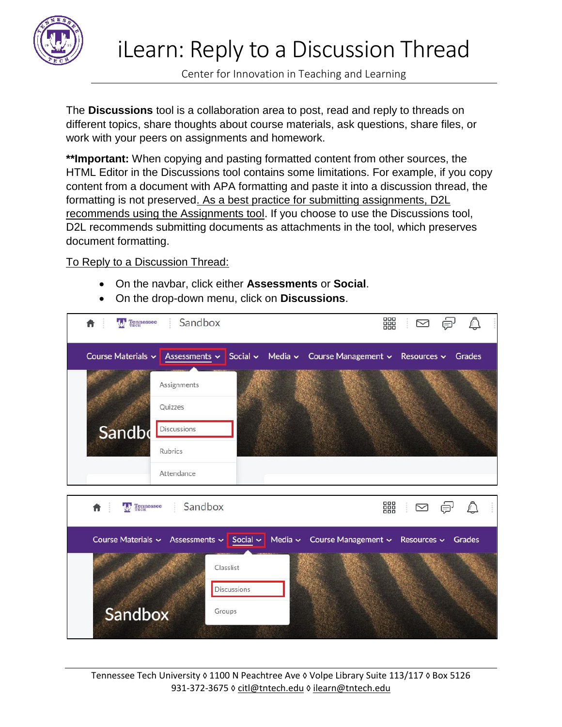

Center for Innovation in Teaching and Learning

The **Discussions** tool is a collaboration area to post, read and reply to threads on different topics, share thoughts about course materials, ask questions, share files, or work with your peers on assignments and homework.

**\*\*Important:** When copying and pasting formatted content from other sources, the HTML Editor in the Discussions tool contains some limitations. For example, if you copy content from a document with APA formatting and paste it into a discussion thread, the formatting is not preserved. As a best practice for submitting assignments, D2L recommends using the Assignments tool. If you choose to use the Discussions tool, D2L recommends submitting documents as attachments in the tool, which preserves document formatting.

## To Reply to a Discussion Thread:

- On the navbar, click either **Assessments** or **Social**.
- On the drop-down menu, click on **Discussions**.



Tennessee Tech University ◊ 1100 N Peachtree Ave ◊ Volpe Library Suite 113/117 ◊ Box 5126 931-372-3675 ◊ [citl@tntech.edu](mailto:citl@tntech.edu) ◊ [ilearn@tntech.edu](mailto:ilearn@tntech.edu)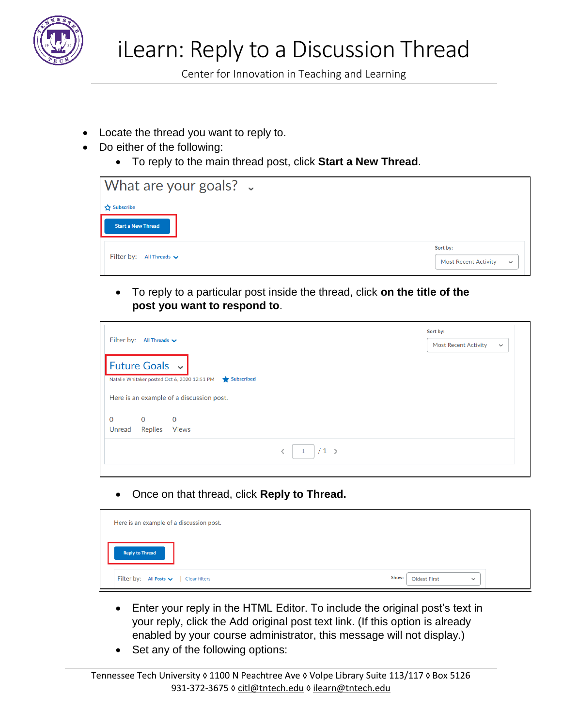

Center for Innovation in Teaching and Learning

- Locate the thread you want to reply to.
- Do either of the following:
	- To reply to the main thread post, click **Start a New Thread**.

| What are your goals? $\sim$                  |                                                         |
|----------------------------------------------|---------------------------------------------------------|
| Subscribe                                    |                                                         |
| <b>Start a New Thread</b>                    |                                                         |
| Filter by: All Threads $\blacktriangleright$ | Sort by:<br><b>Most Recent Activity</b><br>$\checkmark$ |

• To reply to a particular post inside the thread, click **on the title of the post you want to respond to**.

|                                                            |             | Sort by:                                   |
|------------------------------------------------------------|-------------|--------------------------------------------|
| Filter by: All Threads $\blacktriangleright$               |             | <b>Most Recent Activity</b><br>$\check{~}$ |
| Future Goals v                                             |             |                                            |
| Natalie Whitaker posted Oct 6, 2020 12:51 PM<br>Subscribed |             |                                            |
| Here is an example of a discussion post.                   |             |                                            |
| $\mathbf 0$<br>$\mathbf 0$<br>0                            |             |                                            |
| <b>Replies</b><br>Unread<br><b>Views</b>                   |             |                                            |
|                                                            | $/1$ ><br>1 |                                            |

• Once on that thread, click **Reply to Thread.**

| Here is an example of a discussion post.    |                                              |
|---------------------------------------------|----------------------------------------------|
| <b>Reply to Thread</b>                      |                                              |
| Filter by: All Posts $\vee$   Clear filters | Show:<br><b>Oldest First</b><br>$\checkmark$ |

- Enter your reply in the HTML Editor. To include the original post's text in your reply, click the Add original post text link. (If this option is already enabled by your course administrator, this message will not display.)
- Set any of the following options: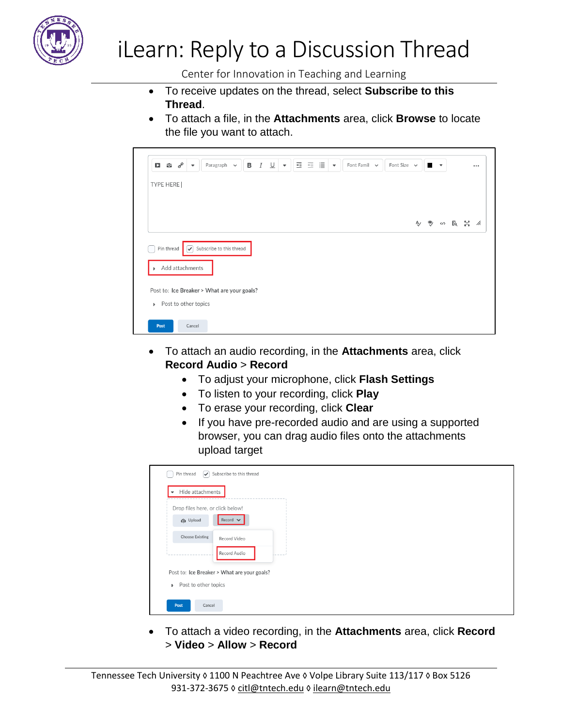

## iLearn: Reply to a Discussion Thread

Center for Innovation in Teaching and Learning

- To receive updates on the thread, select **Subscribe to this Thread**.
- To attach a file, in the **Attachments** area, click **Browse** to locate the file you want to attach.

| $\mathcal{C}^{\rho}$<br>Paragraph $\sim$<br>$\overline{\phantom{a}}$ | в                        | $I \perp$                                   | $\mathbf{v}$ | 西西津 | $\overline{\phantom{a}}$ | Font Famil $\sim$ |  | Font Size $\sim$ |  | $\overline{\phantom{a}}$ |  | $\cdots$        |
|----------------------------------------------------------------------|--------------------------|---------------------------------------------|--------------|-----|--------------------------|-------------------|--|------------------|--|--------------------------|--|-----------------|
|                                                                      |                          |                                             |              |     |                          |                   |  |                  |  |                          |  |                 |
|                                                                      |                          |                                             |              |     |                          |                   |  |                  |  |                          |  |                 |
|                                                                      |                          |                                             |              |     |                          |                   |  |                  |  |                          |  |                 |
| ✓                                                                    |                          |                                             |              |     |                          |                   |  |                  |  |                          |  |                 |
| Add attachments                                                      |                          |                                             |              |     |                          |                   |  |                  |  |                          |  |                 |
|                                                                      |                          |                                             |              |     |                          |                   |  |                  |  |                          |  |                 |
| $\triangleright$ Post to other topics                                |                          |                                             |              |     |                          |                   |  |                  |  |                          |  |                 |
|                                                                      | Subscribe to this thread | Post to: Ice Breaker > What are your goals? |              |     |                          |                   |  |                  |  |                          |  | A) → (n) 民 N2 / |

- To attach an audio recording, in the **Attachments** area, click **Record Audio** > **Record**
	- To adjust your microphone, click **Flash Settings**
	- To listen to your recording, click **Play**
	- To erase your recording, click **Clear**
	- If you have pre-recorded audio and are using a supported browser, you can drag audio files onto the attachments upload target

| Pin thread<br>Hide attachments<br>$\overline{\phantom{a}}$ | $\triangleright$ Subscribe to this thread |  |  |  |
|------------------------------------------------------------|-------------------------------------------|--|--|--|
| Drop files here, or click below!                           |                                           |  |  |  |
| <b>Cp</b> Upload                                           | Record $\blacktriangleright$              |  |  |  |
| <b>Choose Existing</b>                                     | Record Video                              |  |  |  |
|                                                            | Record Audio                              |  |  |  |
| Post to: Ice Breaker > What are your goals?                |                                           |  |  |  |
| Post to other topics<br>Þ.                                 |                                           |  |  |  |
| Post<br>Cancel                                             |                                           |  |  |  |

• To attach a video recording, in the **Attachments** area, click **Record** > **Video** > **Allow** > **Record**